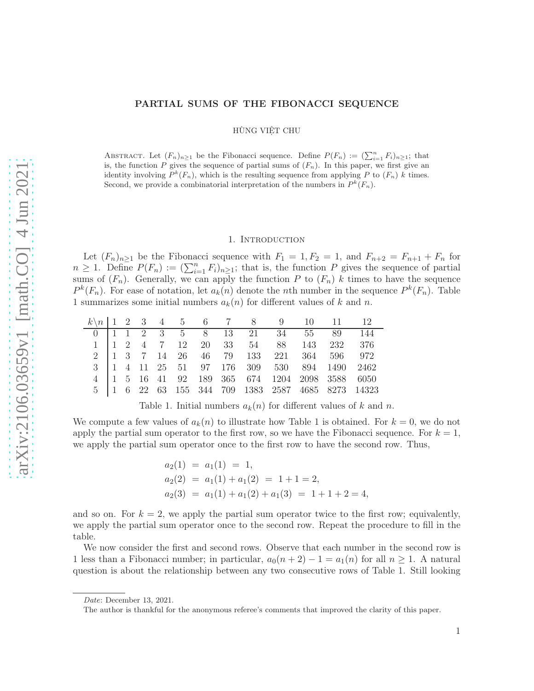## PARTIAL SUMS OF THE FIBONACCI SEQUENCE

HÙNG VIÊT CHU

ABSTRACT. Let  $(F_n)_{n\geq 1}$  be the Fibonacci sequence. Define  $P(F_n) := (\sum_{i=1}^n F_i)_{n\geq 1}$ ; that is, the function P gives the sequence of partial sums of  $(F_n)$ . In this paper, we first give an identity involving  $P^k(F_n)$ , which is the resulting sequence from applying P to  $(F_n)$  k times. Second, we provide a combinatorial interpretation of the numbers in  $P^k(F_n)$ .

#### 1. Introduction

Let  $(F_n)_{n\geq 1}$  be the Fibonacci sequence with  $F_1 = 1, F_2 = 1$ , and  $F_{n+2} = F_{n+1} + F_n$  for  $n \geq 1$ . Define  $P(F_n) := (\sum_{i=1}^n F_i)_{n \geq 1}$ ; that is, the function P gives the sequence of partial sums of  $(F_n)$ . Generally, we can apply the function P to  $(F_n)$  k times to have the sequence  $P^{k}(F_n)$ . For ease of notation, let  $a_k(n)$  denote the nth number in the sequence  $P^{k}(F_n)$ . Table 1 summarizes some initial numbers  $a_k(n)$  for different values of k and n.

|  |  |  |  |  | $k \nmid 1 \ 2 \ 3 \ 4 \ 5 \ 6 \ 7 \ 8 \ 9 \ 10 \ 11 \ 12$                                                    |                                                                                                                     |
|--|--|--|--|--|---------------------------------------------------------------------------------------------------------------|---------------------------------------------------------------------------------------------------------------------|
|  |  |  |  |  | 0 1 1 2 3 5 8 13 21 34 55 89 144                                                                              |                                                                                                                     |
|  |  |  |  |  | $1 \begin{pmatrix} 1 & 2 & 4 & 7 & 12 & 20 & 33 & 54 & 88 & 143 & 232 & 376 \end{pmatrix}$                    |                                                                                                                     |
|  |  |  |  |  | $2\quad \boxed{1\quad 3\quad 7\quad 14\quad 26\quad 46\quad 79\quad 133\quad 221\quad 364\quad 596\quad 972}$ |                                                                                                                     |
|  |  |  |  |  |                                                                                                               | $3\begin{array}{ l} 1 & 4 & 11 & 25 & 51 & 97 & 176 & 309 & 530 & 894 & 1490 & 2462 \end{array}$                    |
|  |  |  |  |  | 4   1 5 16 41 92 189 365 674 1204 2098 3588 6050                                                              |                                                                                                                     |
|  |  |  |  |  |                                                                                                               | $5\begin{array}{ l l l l l } 5 & 1 & 6 & 22 & 63 & 155 & 344 & 709 & 1383 & 2587 & 4685 & 8273 & 14323 \end{array}$ |

Table 1. Initial numbers  $a_k(n)$  for different values of k and n.

We compute a few values of  $a_k(n)$  to illustrate how Table 1 is obtained. For  $k = 0$ , we do not apply the partial sum operator to the first row, so we have the Fibonacci sequence. For  $k = 1$ , we apply the partial sum operator once to the first row to have the second row. Thus,

$$
a_2(1) = a_1(1) = 1,
$$
  
\n
$$
a_2(2) = a_1(1) + a_1(2) = 1 + 1 = 2,
$$
  
\n
$$
a_2(3) = a_1(1) + a_1(2) + a_1(3) = 1 + 1 + 2 = 4,
$$

and so on. For  $k = 2$ , we apply the partial sum operator twice to the first row; equivalently, we apply the partial sum operator once to the second row. Repeat the procedure to fill in the table.

We now consider the first and second rows. Observe that each number in the second row is 1 less than a Fibonacci number; in particular,  $a_0(n+2) - 1 = a_1(n)$  for all  $n \ge 1$ . A natural question is about the relationship between any two consecutive rows of Table 1. Still looking

Date: December 13, 2021.

The author is thankful for the anonymous referee's comments that improved the clarity of this paper.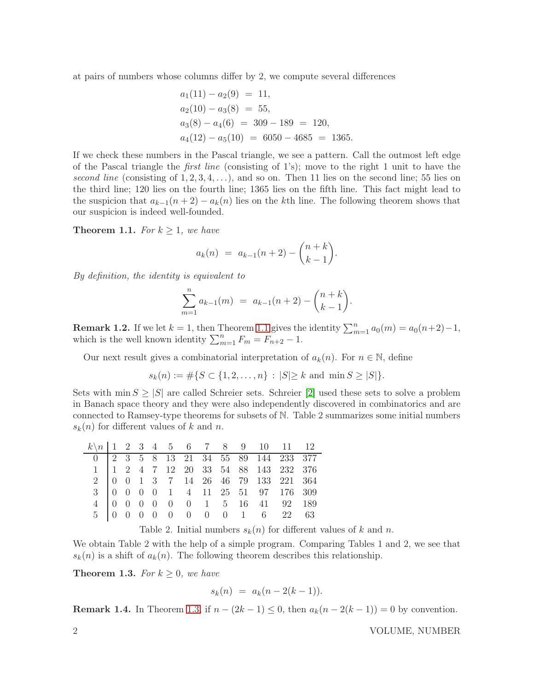at pairs of numbers whose columns differ by 2, we compute several differences

$$
a_1(11) - a_2(9) = 11,
$$
  
\n
$$
a_2(10) - a_3(8) = 55,
$$
  
\n
$$
a_3(8) - a_4(6) = 309 - 189 = 120,
$$
  
\n
$$
a_4(12) - a_5(10) = 6050 - 4685 = 1365.
$$

If we check these numbers in the Pascal triangle, we see a pattern. Call the outmost left edge of the Pascal triangle the *first line* (consisting of 1's); move to the right 1 unit to have the *second line* (consisting of  $1, 2, 3, 4, \ldots$ ), and so on. Then 11 lies on the second line; 55 lies on the third line; 120 lies on the fourth line; 1365 lies on the fifth line. This fact might lead to the suspicion that  $a_{k-1}(n+2) - a_k(n)$  lies on the kth line. The following theorem shows that our suspicion is indeed well-founded.

<span id="page-1-0"></span>**Theorem 1.1.** For  $k \geq 1$ , we have

$$
a_k(n) = a_{k-1}(n+2) - \binom{n+k}{k-1}.
$$

*By definition, the identity is equivalent to*

$$
\sum_{m=1}^{n} a_{k-1}(m) = a_{k-1}(n+2) - \binom{n+k}{k-1}.
$$

**Remark 1.2.** If we let  $k = 1$ , then Theorem [1.1](#page-1-0) gives the identity  $\sum_{m=1}^{n} a_0(m) = a_0(n+2)-1$ , which is the well known identity  $\sum_{m=1}^{n} F_m = F_{n+2} - 1$ .

Our next result gives a combinatorial interpretation of  $a_k(n)$ . For  $n \in \mathbb{N}$ , define

$$
s_k(n) := \#\{S \subset \{1, 2, \dots, n\} : |S| \ge k \text{ and } \min S \ge |S|\}.
$$

Sets with  $\min S \geq |S|$  are called Schreier sets. Schreier [\[2\]](#page-3-0) used these sets to solve a problem in Banach space theory and they were also independently discovered in combinatorics and are connected to Ramsey-type theorems for subsets of N. Table 2 summarizes some initial numbers  $s_k(n)$  for different values of k and n.

| $k\ n$   1 2 3 4 5 6 7 8 9 10 11 12                                                                                                                                                                                                                       |  |  |  |  |  |  |
|-----------------------------------------------------------------------------------------------------------------------------------------------------------------------------------------------------------------------------------------------------------|--|--|--|--|--|--|
|                                                                                                                                                                                                                                                           |  |  |  |  |  |  |
|                                                                                                                                                                                                                                                           |  |  |  |  |  |  |
|                                                                                                                                                                                                                                                           |  |  |  |  |  |  |
|                                                                                                                                                                                                                                                           |  |  |  |  |  |  |
|                                                                                                                                                                                                                                                           |  |  |  |  |  |  |
| $\begin{array}{c cccccccc} 0&2&3&5&8&13&21&34&55&89&144&233&377\\ 1&1&2&4&7&12&20&33&54&88&143&232&376\\ 2&0&0&1&3&7&14&26&46&79&133&221&364\\ 3&0&0&0&0&1&4&11&25&51&97&176&309\\ 4&0&0&0&0&0&1&5&16&41&92&189\\ 5&0&0&0&0&0&0&0&0&1&6&22&63 \end{array$ |  |  |  |  |  |  |

Table 2. Initial numbers  $s_k(n)$  for different values of k and n.

We obtain Table 2 with the help of a simple program. Comparing Tables 1 and 2, we see that  $s_k(n)$  is a shift of  $a_k(n)$ . The following theorem describes this relationship.

<span id="page-1-1"></span>**Theorem 1.3.** *For*  $k \geq 0$ *, we have* 

$$
s_k(n) = a_k(n-2(k-1)).
$$

**Remark 1.4.** In Theorem [1.3,](#page-1-1) if  $n - (2k - 1) \le 0$ , then  $a_k(n - 2(k - 1)) = 0$  by convention.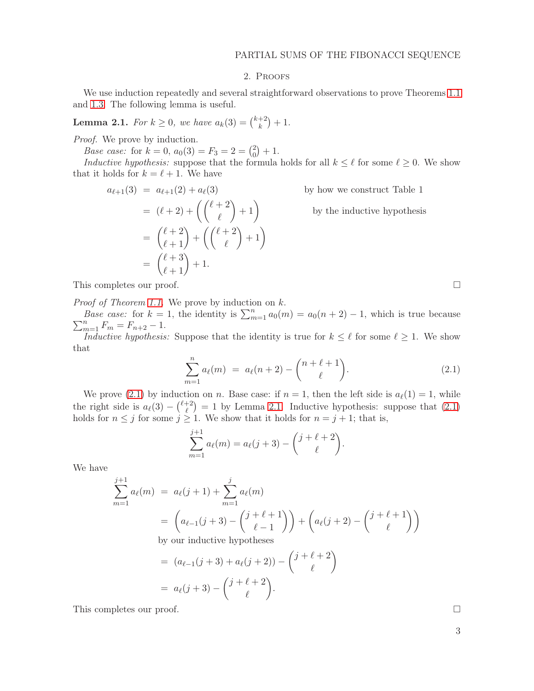# 2. Proofs

We use induction repeatedly and several straightforward observations to prove Theorems [1.1](#page-1-0) and [1.3.](#page-1-1) The following lemma is useful.

<span id="page-2-1"></span>**Lemma 2.1.** For  $k \geq 0$ , we have  $a_k(3) = \binom{k+2}{k}$  $\binom{+2}{k} + 1.$ 

*Proof.* We prove by induction.

*Base case:* for  $k = 0$ ,  $a_0(3) = F_3 = 2 = \binom{2}{0}$  $_{0}^{2})+1.$ 

*Inductive hypothesis:* suppose that the formula holds for all  $k \leq \ell$  for some  $\ell \geq 0$ . We show that it holds for  $k = \ell + 1$ . We have

$$
a_{\ell+1}(3) = a_{\ell+1}(2) + a_{\ell}(3)
$$
 by how we construct Table 1  
=  $(\ell+2) + ((\ell+2) + 1)$  by the inductive hypothesis  
=  $(\ell+2) + ((\ell+2) + 1)$   
=  $(\ell+3) + 1$ .

This completes our proof.

*Proof of Theorem [1.1.](#page-1-0)* We prove by induction on k.

*Base case:* for  $k = 1$ , the identity is  $\sum_{m=1}^{n} a_0(m) = a_0(n+2) - 1$ , which is true because  $\sum_{m=1}^{n} F_m = F_{n+2} - 1.$ 

*Inductive hypothesis:* Suppose that the identity is true for  $k \leq \ell$  for some  $\ell \geq 1$ . We show that

$$
\sum_{m=1}^{n} a_{\ell}(m) = a_{\ell}(n+2) - \binom{n+\ell+1}{\ell}.
$$
 (2.1)

.

We prove [\(2.1\)](#page-2-0) by induction on n. Base case: if  $n = 1$ , then the left side is  $a_{\ell}(1) = 1$ , while the right side is  $a_{\ell}(3) - {\ell+2 \choose \ell}$  $\binom{+2}{\ell} = 1$  by Lemma [2.1.](#page-2-1) Inductive hypothesis: suppose that  $(2.1)$ holds for  $n \leq j$  for some  $j \geq 1$ . We show that it holds for  $n = j + 1$ ; that is,

$$
\sum_{m=1}^{j+1} a_{\ell}(m) = a_{\ell}(j+3) - {j+\ell+2 \choose \ell}
$$

We have

$$
\sum_{m=1}^{j+1} a_{\ell}(m) = a_{\ell}(j+1) + \sum_{m=1}^{j} a_{\ell}(m)
$$
\n
$$
= \left( a_{\ell-1}(j+3) - \binom{j+\ell+1}{\ell-1} \right) + \left( a_{\ell}(j+2) - \binom{j+\ell+1}{\ell} \right)
$$
\nby our inductive hypotheses

 $= (a_{\ell-1}(j+3) + a_{\ell}(j+2)) - \binom{j+\ell+2}{\ell}$  $\ell$  $\setminus$  $= a_{\ell}(j+3) - \binom{j+\ell+2}{\ell}$  $\ell$ .

This completes our proof.  $\Box$ 

<span id="page-2-0"></span>